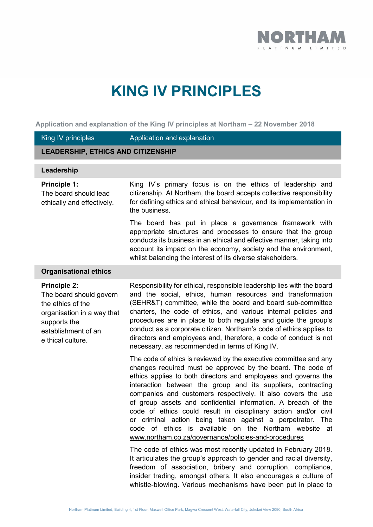

# **KING IV PRINCIPLES**

**Application and explanation of the King IV principles at Northam – 22 November 2018**

| King IV principles                                                                                                                                            | Application and explanation                                                                                                                                                                                                                                                                                                                                                                                                                                                                                                                                                                                                                                                                                                |
|---------------------------------------------------------------------------------------------------------------------------------------------------------------|----------------------------------------------------------------------------------------------------------------------------------------------------------------------------------------------------------------------------------------------------------------------------------------------------------------------------------------------------------------------------------------------------------------------------------------------------------------------------------------------------------------------------------------------------------------------------------------------------------------------------------------------------------------------------------------------------------------------------|
| <b>LEADERSHIP, ETHICS AND CITIZENSHIP</b>                                                                                                                     |                                                                                                                                                                                                                                                                                                                                                                                                                                                                                                                                                                                                                                                                                                                            |
| Leadership                                                                                                                                                    |                                                                                                                                                                                                                                                                                                                                                                                                                                                                                                                                                                                                                                                                                                                            |
| <b>Principle 1:</b><br>The board should lead<br>ethically and effectively.                                                                                    | King IV's primary focus is on the ethics of leadership and<br>citizenship. At Northam, the board accepts collective responsibility<br>for defining ethics and ethical behaviour, and its implementation in<br>the business.                                                                                                                                                                                                                                                                                                                                                                                                                                                                                                |
|                                                                                                                                                               | The board has put in place a governance framework with<br>appropriate structures and processes to ensure that the group<br>conducts its business in an ethical and effective manner, taking into<br>account its impact on the economy, society and the environment,<br>whilst balancing the interest of its diverse stakeholders.                                                                                                                                                                                                                                                                                                                                                                                          |
| <b>Organisational ethics</b>                                                                                                                                  |                                                                                                                                                                                                                                                                                                                                                                                                                                                                                                                                                                                                                                                                                                                            |
| <b>Principle 2:</b><br>The board should govern<br>the ethics of the<br>organisation in a way that<br>supports the<br>establishment of an<br>e thical culture. | Responsibility for ethical, responsible leadership lies with the board<br>and the social, ethics, human resources and transformation<br>(SEHR&T) committee, while the board and board sub-committee<br>charters, the code of ethics, and various internal policies and<br>procedures are in place to both regulate and guide the group's<br>conduct as a corporate citizen. Northam's code of ethics applies to<br>directors and employees and, therefore, a code of conduct is not<br>necessary, as recommended in terms of King IV.                                                                                                                                                                                      |
|                                                                                                                                                               | The code of ethics is reviewed by the executive committee and any<br>changes required must be approved by the board. The code of<br>ethics applies to both directors and employees and governs the<br>interaction between the group and its suppliers, contracting<br>companies and customers respectively. It also covers the use<br>of group assets and confidential information. A breach of the<br>code of ethics could result in disciplinary action and/or civil<br>or criminal action being taken against a perpetrator. The<br>code of ethics is available on the Northam website<br>_at<br>www.northam.co.za/governance/policies-and-procedures<br>The code of ethics was most recently updated in February 2018. |
|                                                                                                                                                               | It articulates the group's approach to gender and racial diversity,<br>freedom of association, bribery and corruption, compliance,<br>insider trading, amongst others. It also encourages a culture of<br>whistle-blowing. Various mechanisms have been put in place to                                                                                                                                                                                                                                                                                                                                                                                                                                                    |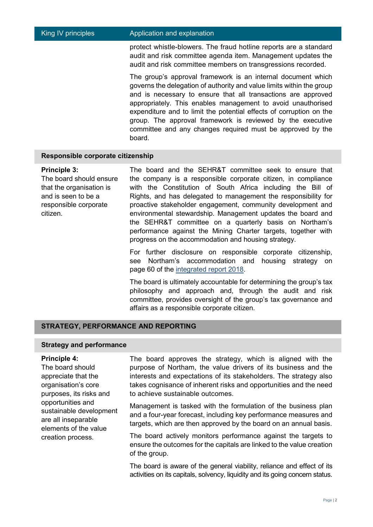# King IV principles **Application and explanation**

protect whistle-blowers. The fraud hotline reports are a standard audit and risk committee agenda item. Management updates the audit and risk committee members on transgressions recorded.

The group's approval framework is an internal document which governs the delegation of authority and value limits within the group and is necessary to ensure that all transactions are approved appropriately. This enables management to avoid unauthorised expenditure and to limit the potential effects of corruption on the group. The approval framework is reviewed by the executive committee and any changes required must be approved by the board.

# **Responsible corporate citizenship**

#### **Principle 3:**

The board should ensure that the organisation is and is seen to be a responsible corporate citizen.

The board and the SEHR&T committee seek to ensure that the company is a responsible corporate citizen, in compliance with the Constitution of South Africa including the Bill of Rights, and has delegated to management the responsibility for proactive stakeholder engagement, community development and environmental stewardship. Management updates the board and the SEHR&T committee on a quarterly basis on Northam's performance against the Mining Charter targets, together with progress on the accommodation and housing strategy.

For further disclosure on responsible corporate citizenship, see Northam's accommodation and housing strategy on page 60 of the [integrated report 2018.](http://northam.integrated-report.com/2018/download/NHM-AIR18.pdf)

The board is ultimately accountable for determining the group's tax philosophy and approach and, through the audit and risk committee, provides oversight of the group's tax governance and affairs as a responsible corporate citizen.

# **STRATEGY, PERFORMANCE AND REPORTING**

# **Strategy and performance**

# **Principle 4:**

The board should appreciate that the organisation's core purposes, its risks and opportunities and sustainable development are all inseparable elements of the value creation process.

The board approves the strategy, which is aligned with the purpose of Northam, the value drivers of its business and the interests and expectations of its stakeholders. The strategy also takes cognisance of inherent risks and opportunities and the need to achieve sustainable outcomes.

Management is tasked with the formulation of the business plan and a four-year forecast, including key performance measures and targets, which are then approved by the board on an annual basis.

The board actively monitors performance against the targets to ensure the outcomes for the capitals are linked to the value creation of the group.

The board is aware of the general viability, reliance and effect of its activities on its capitals, solvency, liquidity and its going concern status.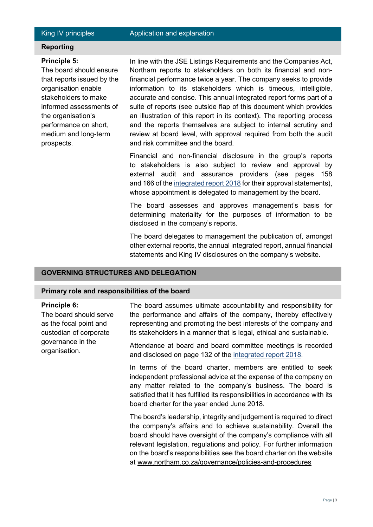Page | 3

# King IV principles **Application and explanation**

# **Reporting**

# **Principle 5:**

The board should ensure that reports issued by the organisation enable stakeholders to make informed assessments of the organisation's performance on short, medium and long-term prospects.

In line with the JSE Listings Requirements and the Companies Act, Northam reports to stakeholders on both its financial and nonfinancial performance twice a year. The company seeks to provide information to its stakeholders which is timeous, intelligible, accurate and concise. This annual integrated report forms part of a suite of reports (see outside flap of this document which provides an illustration of this report in its context). The reporting process and the reports themselves are subject to internal scrutiny and review at board level, with approval required from both the audit and risk committee and the board.

Financial and non-financial disclosure in the group's reports to stakeholders is also subject to review and approval by external audit and assurance providers (see pages 158 and 166 of th[e integrated report 2018](http://northam.integrated-report.com/2018/download/NHM-AIR18.pdf) for their approval statements), whose appointment is delegated to management by the board.

The board assesses and approves management's basis for determining materiality for the purposes of information to be disclosed in the company's reports.

The board delegates to management the publication of, amongst other external reports, the annual integrated report, annual financial statements and King IV disclosures on the company's website.

# **GOVERNING STRUCTURES AND DELEGATION**

# **Primary role and responsibilities of the board**

## **Principle 6:**

The board should serve as the focal point and custodian of corporate governance in the organisation.

The board assumes ultimate accountability and responsibility for the performance and affairs of the company, thereby effectively representing and promoting the best interests of the company and its stakeholders in a manner that is legal, ethical and sustainable.

Attendance at board and board committee meetings is recorded and disclosed on page 132 of the [integrated report 2018.](http://northam.integrated-report.com/2018/download/NHM-AIR18.pdf)

In terms of the board charter, members are entitled to seek independent professional advice at the expense of the company on any matter related to the company's business. The board is satisfied that it has fulfilled its responsibilities in accordance with its board charter for the year ended June 2018.

The board's leadership, integrity and judgement is required to direct the company's affairs and to achieve sustainability. Overall the board should have oversight of the company's compliance with all relevant legislation, regulations and policy. For further information on the board's responsibilities see the board charter on the website at www.northam.co.za/governance/policies-and-procedures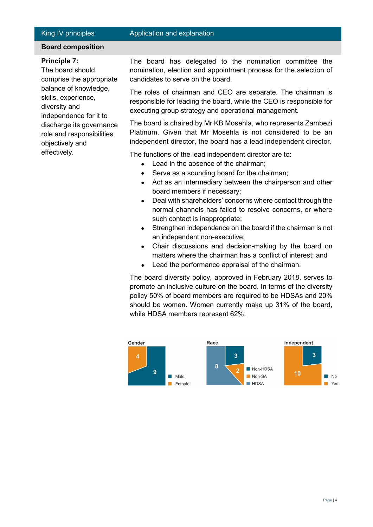# King IV principles **Application and explanation**

# **Board composition**

# **Principle 7:**

The board should comprise the appropriate balance of knowledge, skills, experience, diversity and independence for it to discharge its governance role and responsibilities objectively and effectively.

The board has delegated to the nomination committee the nomination, election and appointment process for the selection of candidates to serve on the board.

The roles of chairman and CEO are separate. The chairman is responsible for leading the board, while the CEO is responsible for executing group strategy and operational management.

The board is chaired by Mr KB Mosehla, who represents Zambezi Platinum. Given that Mr Mosehla is not considered to be an independent director, the board has a lead independent director.

The functions of the lead independent director are to:

- Lead in the absence of the chairman;
- Serve as a sounding board for the chairman;
- Act as an intermediary between the chairperson and other board members if necessary;
- Deal with shareholders' concerns where contact through the normal channels has failed to resolve concerns, or where such contact is inappropriate;
- Strengthen independence on the board if the chairman is not an independent non-executive;
- Chair discussions and decision-making by the board on matters where the chairman has a conflict of interest; and
- Lead the performance appraisal of the chairman.

The board diversity policy, approved in February 2018, serves to promote an inclusive culture on the board. In terms of the diversity policy 50% of board members are required to be HDSAs and 20% should be women. Women currently make up 31% of the board, while HDSA members represent 62%.

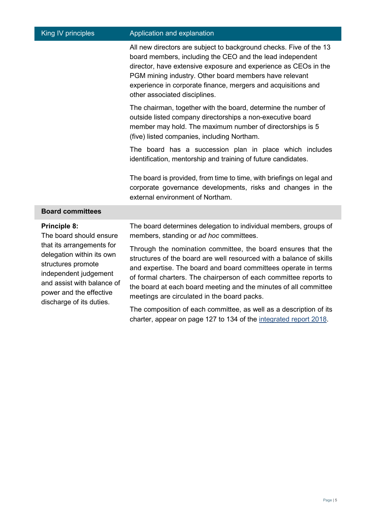| King IV principles                                                                                                                                                                                                                           | Application and explanation                                                                                                                                                                                                                                                                                                                                                                  |
|----------------------------------------------------------------------------------------------------------------------------------------------------------------------------------------------------------------------------------------------|----------------------------------------------------------------------------------------------------------------------------------------------------------------------------------------------------------------------------------------------------------------------------------------------------------------------------------------------------------------------------------------------|
|                                                                                                                                                                                                                                              | All new directors are subject to background checks. Five of the 13<br>board members, including the CEO and the lead independent<br>director, have extensive exposure and experience as CEOs in the<br>PGM mining industry. Other board members have relevant<br>experience in corporate finance, mergers and acquisitions and<br>other associated disciplines.                               |
|                                                                                                                                                                                                                                              | The chairman, together with the board, determine the number of<br>outside listed company directorships a non-executive board<br>member may hold. The maximum number of directorships is 5<br>(five) listed companies, including Northam.                                                                                                                                                     |
|                                                                                                                                                                                                                                              | The board has a succession plan in place which includes<br>identification, mentorship and training of future candidates.                                                                                                                                                                                                                                                                     |
|                                                                                                                                                                                                                                              | The board is provided, from time to time, with briefings on legal and<br>corporate governance developments, risks and changes in the<br>external environment of Northam.                                                                                                                                                                                                                     |
| <b>Board committees</b>                                                                                                                                                                                                                      |                                                                                                                                                                                                                                                                                                                                                                                              |
| <b>Principle 8:</b><br>The board should ensure<br>that its arrangements for<br>delegation within its own<br>structures promote<br>independent judgement<br>and assist with balance of<br>power and the effective<br>discharge of its duties. | The board determines delegation to individual members, groups of<br>members, standing or ad hoc committees.                                                                                                                                                                                                                                                                                  |
|                                                                                                                                                                                                                                              | Through the nomination committee, the board ensures that the<br>structures of the board are well resourced with a balance of skills<br>and expertise. The board and board committees operate in terms<br>of formal charters. The chairperson of each committee reports to<br>the board at each board meeting and the minutes of all committee<br>meetings are circulated in the board packs. |
|                                                                                                                                                                                                                                              | The composition of each committee, as well as a description of its<br>charter, appear on page 127 to 134 of the integrated report 2018.                                                                                                                                                                                                                                                      |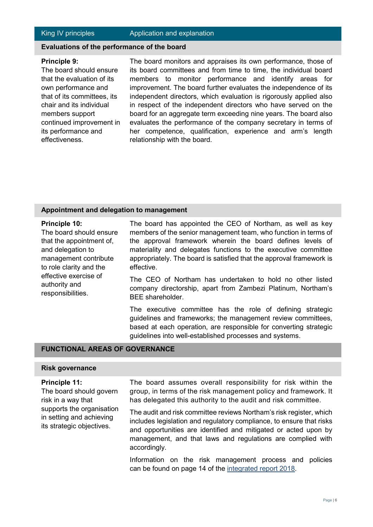# **Evaluations of the performance of the board**

#### **Principle 9:**

The board should ensure that the evaluation of its own performance and that of its committees, its chair and its individual members support continued improvement in its performance and effectiveness.

The board monitors and appraises its own performance, those of its board committees and from time to time, the individual board members to monitor performance and identify areas for improvement. The board further evaluates the independence of its independent directors, which evaluation is rigorously applied also in respect of the independent directors who have served on the board for an aggregate term exceeding nine years. The board also evaluates the performance of the company secretary in terms of her competence, qualification, experience and arm's length relationship with the board.

# **Appointment and delegation to management**

# **Principle 10:**

The board should ensure that the appointment of, and delegation to management contribute to role clarity and the effective exercise of authority and responsibilities.

The board has appointed the CEO of Northam, as well as key members of the senior management team, who function in terms of the approval framework wherein the board defines levels of materiality and delegates functions to the executive committee appropriately. The board is satisfied that the approval framework is effective.

The CEO of Northam has undertaken to hold no other listed company directorship, apart from Zambezi Platinum, Northam's BEE shareholder.

The executive committee has the role of defining strategic guidelines and frameworks; the management review committees, based at each operation, are responsible for converting strategic guidelines into well-established processes and systems.

# **FUNCTIONAL AREAS OF GOVERNANCE**

# **Risk governance**

# **Principle 11:**

The board should govern risk in a way that supports the organisation in setting and achieving its strategic objectives.

The board assumes overall responsibility for risk within the group, in terms of the risk management policy and framework. It has delegated this authority to the audit and risk committee.

The audit and risk committee reviews Northam's risk register, which includes legislation and regulatory compliance, to ensure that risks and opportunities are identified and mitigated or acted upon by management, and that laws and regulations are complied with accordingly.

Information on the risk management process and policies can be found on page 14 of the [integrated report 2018.](http://northam.integrated-report.com/2018/download/NHM-AIR18.pdf)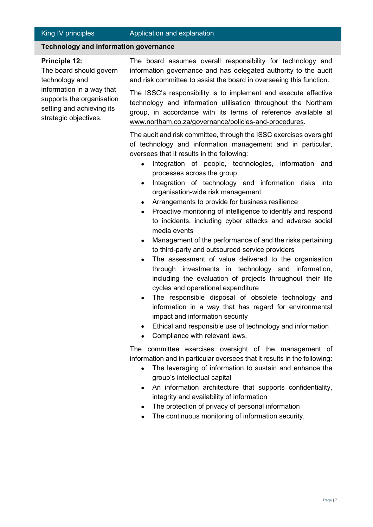# **Technology and information governance**

# **Principle 12:**

The board should govern technology and information in a way that supports the organisation setting and achieving its strategic objectives.

The board assumes overall responsibility for technology and information governance and has delegated authority to the audit and risk committee to assist the board in overseeing this function.

The ISSC's responsibility is to implement and execute effective technology and information utilisation throughout the Northam group, in accordance with its terms of reference available at www.northam.co.za/governance/policies-and-procedures.

The audit and risk committee, through the ISSC exercises oversight of technology and information management and in particular, oversees that it results in the following:

- Integration of people, technologies, information and processes across the group
- Integration of technology and information risks into organisation-wide risk management
- Arrangements to provide for business resilience
- Proactive monitoring of intelligence to identify and respond to incidents, including cyber attacks and adverse social media events
- Management of the performance of and the risks pertaining to third-party and outsourced service providers
- The assessment of value delivered to the organisation through investments in technology and information, including the evaluation of projects throughout their life cycles and operational expenditure
- The responsible disposal of obsolete technology and information in a way that has regard for environmental impact and information security
- Ethical and responsible use of technology and information
- Compliance with relevant laws.

The committee exercises oversight of the management of information and in particular oversees that it results in the following:

- The leveraging of information to sustain and enhance the group's intellectual capital
- An information architecture that supports confidentiality, integrity and availability of information
- The protection of privacy of personal information
- The continuous monitoring of information security.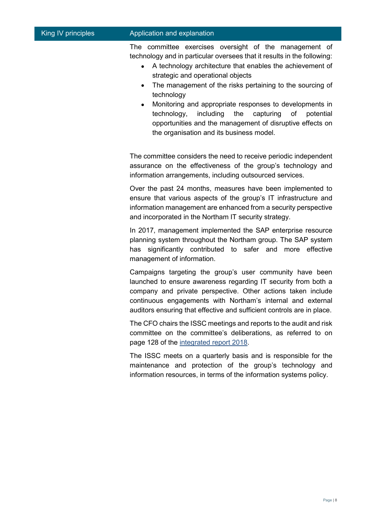# King IV principles **Application and explanation**

The committee exercises oversight of the management of technology and in particular oversees that it results in the following:

- A technology architecture that enables the achievement of strategic and operational objects
- The management of the risks pertaining to the sourcing of technology
- Monitoring and appropriate responses to developments in technology, including the capturing of potential opportunities and the management of disruptive effects on the organisation and its business model.

The committee considers the need to receive periodic independent assurance on the effectiveness of the group's technology and information arrangements, including outsourced services.

Over the past 24 months, measures have been implemented to ensure that various aspects of the group's IT infrastructure and information management are enhanced from a security perspective and incorporated in the Northam IT security strategy.

In 2017, management implemented the SAP enterprise resource planning system throughout the Northam group. The SAP system has significantly contributed to safer and more effective management of information.

Campaigns targeting the group's user community have been launched to ensure awareness regarding IT security from both a company and private perspective. Other actions taken include continuous engagements with Northam's internal and external auditors ensuring that effective and sufficient controls are in place.

The CFO chairs the ISSC meetings and reports to the audit and risk committee on the committee's deliberations, as referred to on page 128 of the [integrated report 2018.](http://northam.integrated-report.com/2018/download/NHM-AIR18.pdf)

The ISSC meets on a quarterly basis and is responsible for the maintenance and protection of the group's technology and information resources, in terms of the information systems policy.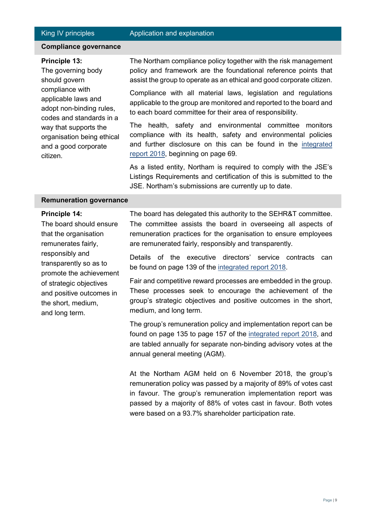# **Compliance governance**

#### **Principle 13:**

The governing body should govern compliance with applicable laws and adopt non-binding rules, codes and standards in a way that supports the organisation being ethical and a good corporate citizen.

The Northam compliance policy together with the risk management policy and framework are the foundational reference points that assist the group to operate as an ethical and good corporate citizen.

Compliance with all material laws, legislation and regulations applicable to the group are monitored and reported to the board and to each board committee for their area of responsibility.

The health, safety and environmental committee monitors compliance with its health, safety and environmental policies and further disclosure on this can be found in the [integrated](http://northam.integrated-report.com/2018/download/NHM-AIR18.pdf)  [report 2018,](http://northam.integrated-report.com/2018/download/NHM-AIR18.pdf) beginning on page 69.

As a listed entity, Northam is required to comply with the JSE's Listings Requirements and certification of this is submitted to the JSE. Northam's submissions are currently up to date.

#### **Remuneration governance**

#### **Principle 14:**

The board should ensure that the organisation remunerates fairly, responsibly and transparently so as to promote the achievement of strategic objectives and positive outcomes in the short, medium, and long term.

The board has delegated this authority to the SEHR&T committee. The committee assists the board in overseeing all aspects of remuneration practices for the organisation to ensure employees are remunerated fairly, responsibly and transparently.

Details of the executive directors' service contracts can be found on page 139 of the [integrated report 2018.](http://northam.integrated-report.com/2018/download/NHM-AIR18.pdf)

Fair and competitive reward processes are embedded in the group. These processes seek to encourage the achievement of the group's strategic objectives and positive outcomes in the short, medium, and long term.

The group's remuneration policy and implementation report can be found on page 135 to page 157 of the [integrated report 2018,](http://northam.integrated-report.com/2018/download/NHM-AIR18.pdf) and are tabled annually for separate non-binding advisory votes at the annual general meeting (AGM).

At the Northam AGM held on 6 November 2018, the group's remuneration policy was passed by a majority of 89% of votes cast in favour. The group's remuneration implementation report was passed by a majority of 88% of votes cast in favour. Both votes were based on a 93.7% shareholder participation rate.